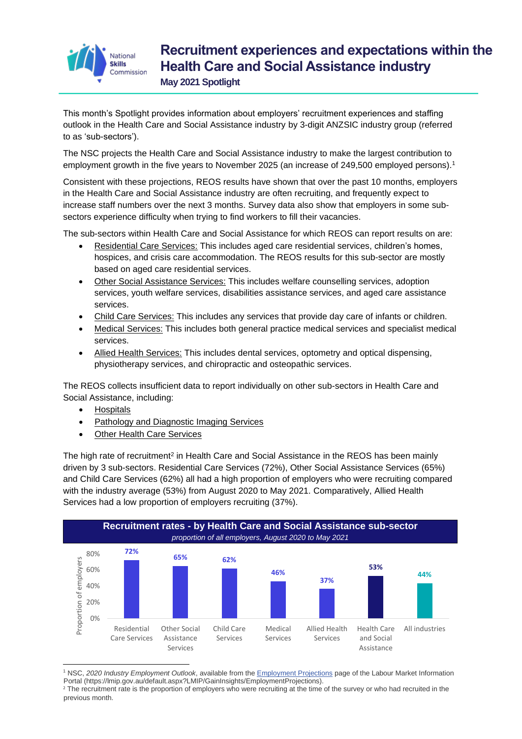

## **Recruitment experiences and expectations within the Health Care and Social Assistance industry**

**May 2021 Spotlight**

This month's Spotlight provides information about employers' recruitment experiences and staffing outlook in the Health Care and Social Assistance industry by 3-digit ANZSIC industry group (referred to as 'sub-sectors').

The NSC projects the Health Care and Social Assistance industry to make the largest contribution to employment growth in the five years to November 2025 (an increase of 249,500 employed persons). 1

Consistent with these projections, REOS results have shown that over the past 10 months, employers in the Health Care and Social Assistance industry are often recruiting, and frequently expect to increase staff numbers over the next 3 months. Survey data also show that employers in some subsectors experience difficulty when trying to find workers to fill their vacancies.

The sub-sectors within Health Care and Social Assistance for which REOS can report results on are:

- Residential Care Services: This includes aged care residential services, children's homes, hospices, and crisis care accommodation. The REOS results for this sub-sector are mostly based on aged care residential services.
- Other Social Assistance Services: This includes welfare counselling services, adoption services, youth welfare services, disabilities assistance services, and aged care assistance services.
- Child Care Services: This includes any services that provide day care of infants or children.
- Medical Services: This includes both general practice medical services and specialist medical services.
- Allied Health Services: This includes dental services, optometry and optical dispensing, physiotherapy services, and chiropractic and osteopathic services.

The REOS collects insufficient data to report individually on other sub-sectors in Health Care and Social Assistance, including:

- Hospitals
- Pathology and Diagnostic Imaging Services
- Other Health Care Services

The high rate of recruitment<sup>2</sup> in Health Care and Social Assistance in the REOS has been mainly driven by 3 sub-sectors. Residential Care Services (72%), Other Social Assistance Services (65%) and Child Care Services (62%) all had a high proportion of employers who were recruiting compared with the industry average (53%) from August 2020 to May 2021. Comparatively, Allied Health Services had a low proportion of employers recruiting (37%).



<sup>1</sup> NSC, *2020 Industry Employment Outlook*, available from th[e Employment Projections](https://lmip.gov.au/default.aspx?LMIP/GainInsights/EmploymentProjections) page of the Labour Market Information Portal (https://lmip.gov.au/default.aspx?LMIP/GainInsights/EmploymentProjections).

<sup>&</sup>lt;sup>2</sup> The recruitment rate is the proportion of employers who were recruiting at the time of the survey or who had recruited in the previous month.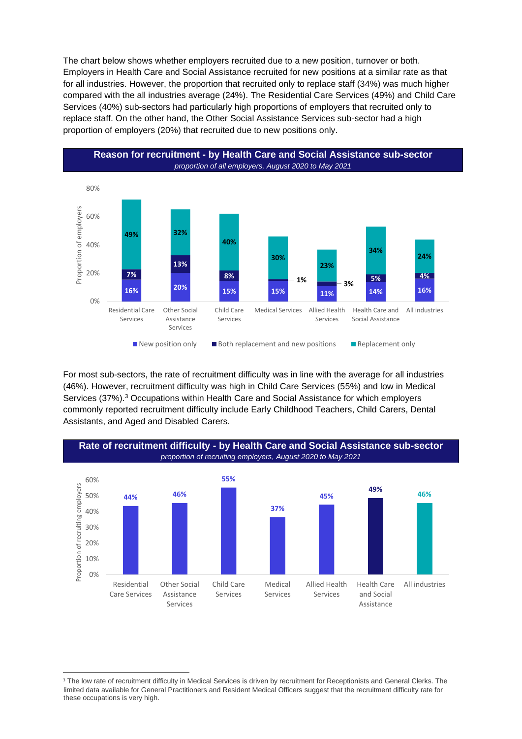The chart below shows whether employers recruited due to a new position, turnover or both. Employers in Health Care and Social Assistance recruited for new positions at a similar rate as that for all industries. However, the proportion that recruited only to replace staff (34%) was much higher compared with the all industries average (24%). The Residential Care Services (49%) and Child Care Services (40%) sub-sectors had particularly high proportions of employers that recruited only to replace staff. On the other hand, the Other Social Assistance Services sub-sector had a high proportion of employers (20%) that recruited due to new positions only.



For most sub-sectors, the rate of recruitment difficulty was in line with the average for all industries (46%). However, recruitment difficulty was high in Child Care Services (55%) and low in Medical Services (37%). <sup>3</sup> Occupations within Health Care and Social Assistance for which employers commonly reported recruitment difficulty include Early Childhood Teachers, Child Carers, Dental Assistants, and Aged and Disabled Carers.



<sup>&</sup>lt;sup>3</sup> The low rate of recruitment difficulty in Medical Services is driven by recruitment for Receptionists and General Clerks. The limited data available for General Practitioners and Resident Medical Officers suggest that the recruitment difficulty rate for these occupations is very high.